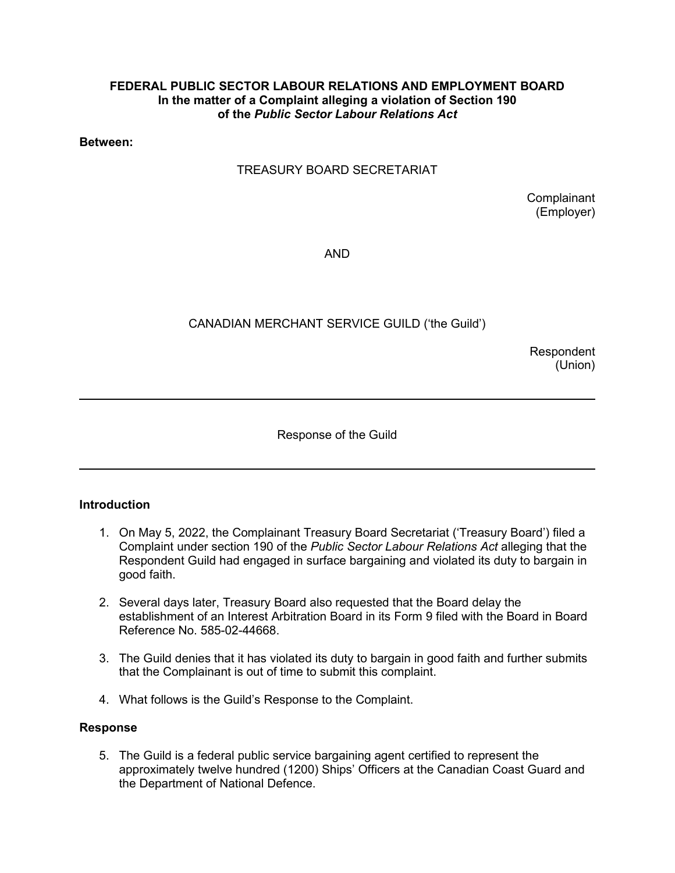#### **FEDERAL PUBLIC SECTOR LABOUR RELATIONS AND EMPLOYMENT BOARD In the matter of a Complaint alleging a violation of Section 190 of the** *Public Sector Labour Relations Act*

**Between:**

## TREASURY BOARD SECRETARIAT

**Complainant** (Employer)

AND

# CANADIAN MERCHANT SERVICE GUILD ('the Guild')

Respondent (Union)

Response of the Guild

## **Introduction**

 $\overline{a}$ 

 $\overline{\phantom{a}}$ 

- 1. On May 5, 2022, the Complainant Treasury Board Secretariat ('Treasury Board') filed a Complaint under section 190 of the *Public Sector Labour Relations Act* alleging that the Respondent Guild had engaged in surface bargaining and violated its duty to bargain in good faith.
- 2. Several days later, Treasury Board also requested that the Board delay the establishment of an Interest Arbitration Board in its Form 9 filed with the Board in Board Reference No. 585-02-44668.
- 3. The Guild denies that it has violated its duty to bargain in good faith and further submits that the Complainant is out of time to submit this complaint.
- 4. What follows is the Guild's Response to the Complaint.

## **Response**

5. The Guild is a federal public service bargaining agent certified to represent the approximately twelve hundred (1200) Ships' Officers at the Canadian Coast Guard and the Department of National Defence.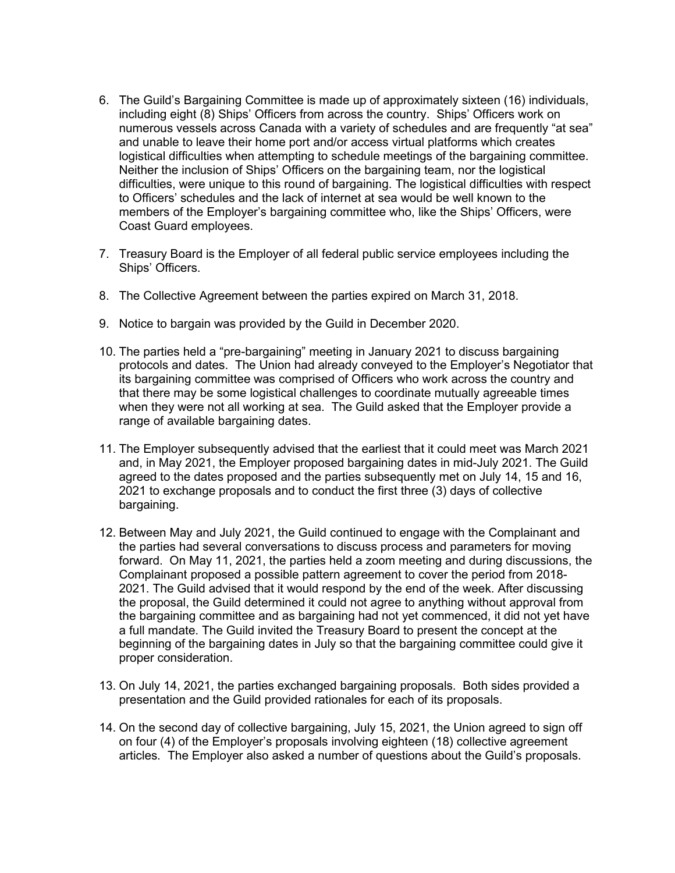- 6. The Guild's Bargaining Committee is made up of approximately sixteen (16) individuals, including eight (8) Ships' Officers from across the country. Ships' Officers work on numerous vessels across Canada with a variety of schedules and are frequently "at sea" and unable to leave their home port and/or access virtual platforms which creates logistical difficulties when attempting to schedule meetings of the bargaining committee. Neither the inclusion of Ships' Officers on the bargaining team, nor the logistical difficulties, were unique to this round of bargaining. The logistical difficulties with respect to Officers' schedules and the lack of internet at sea would be well known to the members of the Employer's bargaining committee who, like the Ships' Officers, were Coast Guard employees.
- 7. Treasury Board is the Employer of all federal public service employees including the Ships' Officers.
- 8. The Collective Agreement between the parties expired on March 31, 2018.
- 9. Notice to bargain was provided by the Guild in December 2020.
- 10. The parties held a "pre-bargaining" meeting in January 2021 to discuss bargaining protocols and dates. The Union had already conveyed to the Employer's Negotiator that its bargaining committee was comprised of Officers who work across the country and that there may be some logistical challenges to coordinate mutually agreeable times when they were not all working at sea. The Guild asked that the Employer provide a range of available bargaining dates.
- 11. The Employer subsequently advised that the earliest that it could meet was March 2021 and, in May 2021, the Employer proposed bargaining dates in mid-July 2021. The Guild agreed to the dates proposed and the parties subsequently met on July 14, 15 and 16, 2021 to exchange proposals and to conduct the first three (3) days of collective bargaining.
- 12. Between May and July 2021, the Guild continued to engage with the Complainant and the parties had several conversations to discuss process and parameters for moving forward. On May 11, 2021, the parties held a zoom meeting and during discussions, the Complainant proposed a possible pattern agreement to cover the period from 2018- 2021. The Guild advised that it would respond by the end of the week. After discussing the proposal, the Guild determined it could not agree to anything without approval from the bargaining committee and as bargaining had not yet commenced, it did not yet have a full mandate. The Guild invited the Treasury Board to present the concept at the beginning of the bargaining dates in July so that the bargaining committee could give it proper consideration.
- 13. On July 14, 2021, the parties exchanged bargaining proposals. Both sides provided a presentation and the Guild provided rationales for each of its proposals.
- 14. On the second day of collective bargaining, July 15, 2021, the Union agreed to sign off on four (4) of the Employer's proposals involving eighteen (18) collective agreement articles*.* The Employer also asked a number of questions about the Guild's proposals.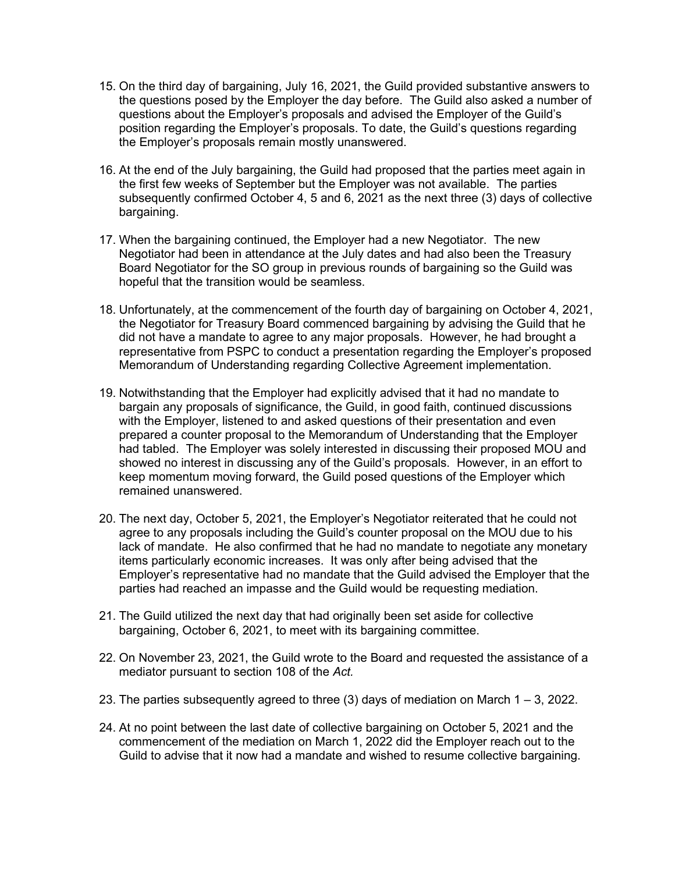- 15. On the third day of bargaining, July 16, 2021, the Guild provided substantive answers to the questions posed by the Employer the day before. The Guild also asked a number of questions about the Employer's proposals and advised the Employer of the Guild's position regarding the Employer's proposals. To date, the Guild's questions regarding the Employer's proposals remain mostly unanswered.
- 16. At the end of the July bargaining, the Guild had proposed that the parties meet again in the first few weeks of September but the Employer was not available. The parties subsequently confirmed October 4, 5 and 6, 2021 as the next three (3) days of collective bargaining.
- 17. When the bargaining continued, the Employer had a new Negotiator. The new Negotiator had been in attendance at the July dates and had also been the Treasury Board Negotiator for the SO group in previous rounds of bargaining so the Guild was hopeful that the transition would be seamless.
- 18. Unfortunately, at the commencement of the fourth day of bargaining on October 4, 2021, the Negotiator for Treasury Board commenced bargaining by advising the Guild that he did not have a mandate to agree to any major proposals. However, he had brought a representative from PSPC to conduct a presentation regarding the Employer's proposed Memorandum of Understanding regarding Collective Agreement implementation.
- 19. Notwithstanding that the Employer had explicitly advised that it had no mandate to bargain any proposals of significance, the Guild, in good faith, continued discussions with the Employer, listened to and asked questions of their presentation and even prepared a counter proposal to the Memorandum of Understanding that the Employer had tabled. The Employer was solely interested in discussing their proposed MOU and showed no interest in discussing any of the Guild's proposals. However, in an effort to keep momentum moving forward, the Guild posed questions of the Employer which remained unanswered.
- 20. The next day, October 5, 2021, the Employer's Negotiator reiterated that he could not agree to any proposals including the Guild's counter proposal on the MOU due to his lack of mandate. He also confirmed that he had no mandate to negotiate any monetary items particularly economic increases. It was only after being advised that the Employer's representative had no mandate that the Guild advised the Employer that the parties had reached an impasse and the Guild would be requesting mediation.
- 21. The Guild utilized the next day that had originally been set aside for collective bargaining, October 6, 2021, to meet with its bargaining committee.
- 22. On November 23, 2021, the Guild wrote to the Board and requested the assistance of a mediator pursuant to section 108 of the *Act.*
- 23. The parties subsequently agreed to three  $(3)$  days of mediation on March  $1 3$ , 2022.
- 24. At no point between the last date of collective bargaining on October 5, 2021 and the commencement of the mediation on March 1, 2022 did the Employer reach out to the Guild to advise that it now had a mandate and wished to resume collective bargaining.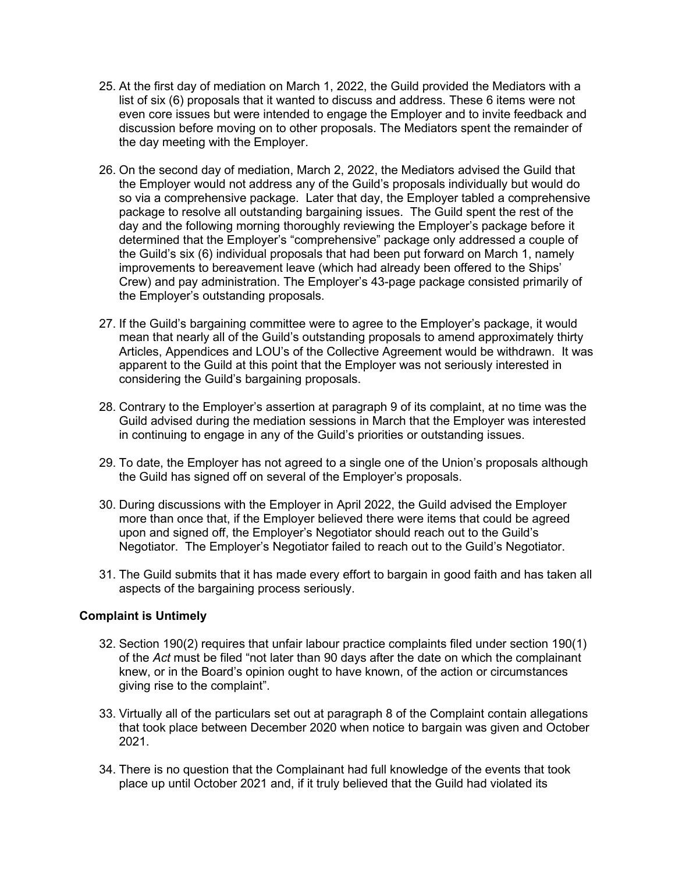- 25. At the first day of mediation on March 1, 2022, the Guild provided the Mediators with a list of six (6) proposals that it wanted to discuss and address. These 6 items were not even core issues but were intended to engage the Employer and to invite feedback and discussion before moving on to other proposals. The Mediators spent the remainder of the day meeting with the Employer.
- 26. On the second day of mediation, March 2, 2022, the Mediators advised the Guild that the Employer would not address any of the Guild's proposals individually but would do so via a comprehensive package. Later that day, the Employer tabled a comprehensive package to resolve all outstanding bargaining issues. The Guild spent the rest of the day and the following morning thoroughly reviewing the Employer's package before it determined that the Employer's "comprehensive" package only addressed a couple of the Guild's six (6) individual proposals that had been put forward on March 1, namely improvements to bereavement leave (which had already been offered to the Ships' Crew) and pay administration. The Employer's 43-page package consisted primarily of the Employer's outstanding proposals.
- 27. If the Guild's bargaining committee were to agree to the Employer's package, it would mean that nearly all of the Guild's outstanding proposals to amend approximately thirty Articles, Appendices and LOU's of the Collective Agreement would be withdrawn. It was apparent to the Guild at this point that the Employer was not seriously interested in considering the Guild's bargaining proposals.
- 28. Contrary to the Employer's assertion at paragraph 9 of its complaint, at no time was the Guild advised during the mediation sessions in March that the Employer was interested in continuing to engage in any of the Guild's priorities or outstanding issues.
- 29. To date, the Employer has not agreed to a single one of the Union's proposals although the Guild has signed off on several of the Employer's proposals.
- 30. During discussions with the Employer in April 2022, the Guild advised the Employer more than once that, if the Employer believed there were items that could be agreed upon and signed off, the Employer's Negotiator should reach out to the Guild's Negotiator. The Employer's Negotiator failed to reach out to the Guild's Negotiator.
- 31. The Guild submits that it has made every effort to bargain in good faith and has taken all aspects of the bargaining process seriously.

## **Complaint is Untimely**

- 32. Section 190(2) requires that unfair labour practice complaints filed under section 190(1) of the *Act* must be filed "not later than 90 days after the date on which the complainant knew, or in the Board's opinion ought to have known, of the action or circumstances giving rise to the complaint".
- 33. Virtually all of the particulars set out at paragraph 8 of the Complaint contain allegations that took place between December 2020 when notice to bargain was given and October 2021.
- 34. There is no question that the Complainant had full knowledge of the events that took place up until October 2021 and, if it truly believed that the Guild had violated its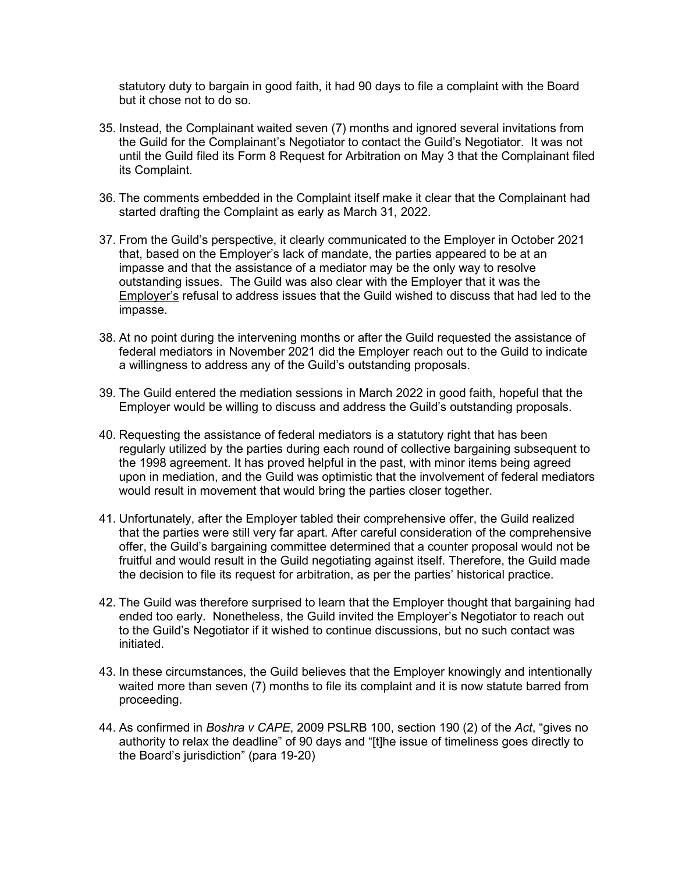statutory duty to bargain in good faith, it had 90 days to file a complaint with the Board but it chose not to do so.

- 35. Instead, the Complainant waited seven (7) months and ignored several invitations from the Guild for the Complainant's Negotiator to contact the Guild's Negotiator. It was not until the Guild filed its Form 8 Request for Arbitration on May 3 that the Complainant filed its Complaint.
- 36. The comments embedded in the Complaint itself make it clear that the Complainant had started drafting the Complaint as early as March 31, 2022.
- 37. From the Guild's perspective, it clearly communicated to the Employer in October 2021 that, based on the Employer's lack of mandate, the parties appeared to be at an impasse and that the assistance of a mediator may be the only way to resolve outstanding issues. The Guild was also clear with the Employer that it was the Employer's refusal to address issues that the Guild wished to discuss that had led to the impasse.
- 38. At no point during the intervening months or after the Guild requested the assistance of federal mediators in November 2021 did the Employer reach out to the Guild to indicate a willingness to address any of the Guild's outstanding proposals.
- 39. The Guild entered the mediation sessions in March 2022 in good faith, hopeful that the Employer would be willing to discuss and address the Guild's outstanding proposals.
- 40. Requesting the assistance of federal mediators is a statutory right that has been regularly utilized by the parties during each round of collective bargaining subsequent to the 1998 agreement. It has proved helpful in the past, with minor items being agreed upon in mediation, and the Guild was optimistic that the involvement of federal mediators would result in movement that would bring the parties closer together.
- 41. Unfortunately, after the Employer tabled their comprehensive offer, the Guild realized that the parties were still very far apart. After careful consideration of the comprehensive offer, the Guild's bargaining committee determined that a counter proposal would not be fruitful and would result in the Guild negotiating against itself. Therefore, the Guild made the decision to file its request for arbitration, as per the parties' historical practice.
- 42. The Guild was therefore surprised to learn that the Employer thought that bargaining had ended too early. Nonetheless, the Guild invited the Employer's Negotiator to reach out to the Guild's Negotiator if it wished to continue discussions, but no such contact was initiated.
- 43. In these circumstances, the Guild believes that the Employer knowingly and intentionally waited more than seven (7) months to file its complaint and it is now statute barred from proceeding.
- 44. As confirmed in *Boshra v CAPE*, 2009 PSLRB 100, section 190 (2) of the *Act*, "gives no authority to relax the deadline" of 90 days and "[t]he issue of timeliness goes directly to the Board's jurisdiction" (para 19-20)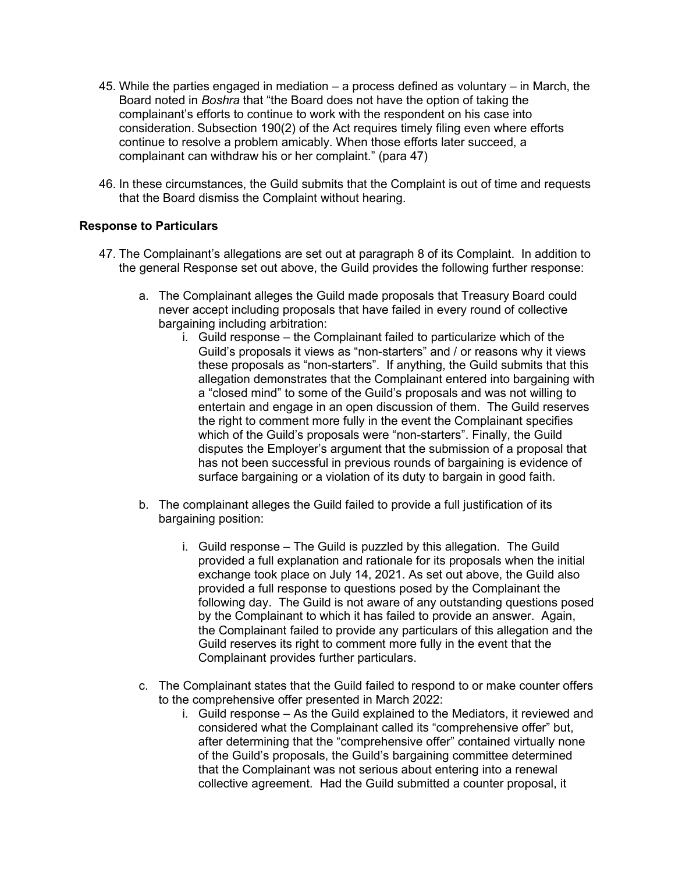- 45. While the parties engaged in mediation a process defined as voluntary in March, the Board noted in *Boshra* that "the Board does not have the option of taking the complainant's efforts to continue to work with the respondent on his case into consideration. Subsection 190(2) of the Act requires timely filing even where efforts continue to resolve a problem amicably. When those efforts later succeed, a complainant can withdraw his or her complaint." (para 47)
- 46. In these circumstances, the Guild submits that the Complaint is out of time and requests that the Board dismiss the Complaint without hearing.

#### **Response to Particulars**

- 47. The Complainant's allegations are set out at paragraph 8 of its Complaint. In addition to the general Response set out above, the Guild provides the following further response:
	- a. The Complainant alleges the Guild made proposals that Treasury Board could never accept including proposals that have failed in every round of collective bargaining including arbitration:
		- i. Guild response the Complainant failed to particularize which of the Guild's proposals it views as "non-starters" and / or reasons why it views these proposals as "non-starters". If anything, the Guild submits that this allegation demonstrates that the Complainant entered into bargaining with a "closed mind" to some of the Guild's proposals and was not willing to entertain and engage in an open discussion of them. The Guild reserves the right to comment more fully in the event the Complainant specifies which of the Guild's proposals were "non-starters". Finally, the Guild disputes the Employer's argument that the submission of a proposal that has not been successful in previous rounds of bargaining is evidence of surface bargaining or a violation of its duty to bargain in good faith.
	- b. The complainant alleges the Guild failed to provide a full justification of its bargaining position:
		- i. Guild response The Guild is puzzled by this allegation. The Guild provided a full explanation and rationale for its proposals when the initial exchange took place on July 14, 2021. As set out above, the Guild also provided a full response to questions posed by the Complainant the following day. The Guild is not aware of any outstanding questions posed by the Complainant to which it has failed to provide an answer. Again, the Complainant failed to provide any particulars of this allegation and the Guild reserves its right to comment more fully in the event that the Complainant provides further particulars.
	- c. The Complainant states that the Guild failed to respond to or make counter offers to the comprehensive offer presented in March 2022:
		- i. Guild response As the Guild explained to the Mediators, it reviewed and considered what the Complainant called its "comprehensive offer" but, after determining that the "comprehensive offer" contained virtually none of the Guild's proposals, the Guild's bargaining committee determined that the Complainant was not serious about entering into a renewal collective agreement. Had the Guild submitted a counter proposal, it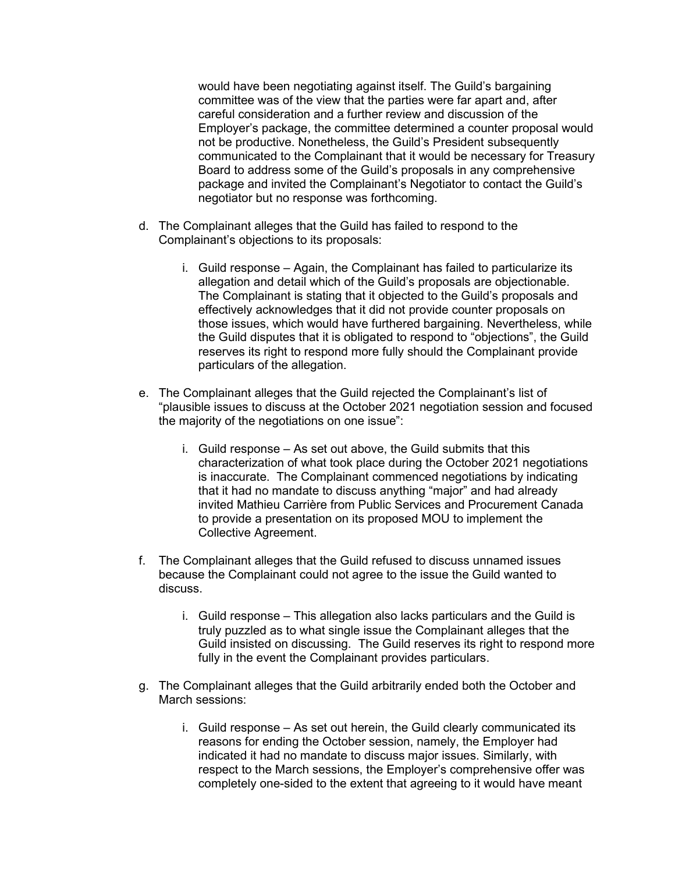would have been negotiating against itself. The Guild's bargaining committee was of the view that the parties were far apart and, after careful consideration and a further review and discussion of the Employer's package, the committee determined a counter proposal would not be productive. Nonetheless, the Guild's President subsequently communicated to the Complainant that it would be necessary for Treasury Board to address some of the Guild's proposals in any comprehensive package and invited the Complainant's Negotiator to contact the Guild's negotiator but no response was forthcoming.

- d. The Complainant alleges that the Guild has failed to respond to the Complainant's objections to its proposals:
	- i. Guild response Again, the Complainant has failed to particularize its allegation and detail which of the Guild's proposals are objectionable. The Complainant is stating that it objected to the Guild's proposals and effectively acknowledges that it did not provide counter proposals on those issues, which would have furthered bargaining. Nevertheless, while the Guild disputes that it is obligated to respond to "objections", the Guild reserves its right to respond more fully should the Complainant provide particulars of the allegation.
- e. The Complainant alleges that the Guild rejected the Complainant's list of "plausible issues to discuss at the October 2021 negotiation session and focused the majority of the negotiations on one issue":
	- i. Guild response As set out above, the Guild submits that this characterization of what took place during the October 2021 negotiations is inaccurate. The Complainant commenced negotiations by indicating that it had no mandate to discuss anything "major" and had already invited Mathieu Carrière from Public Services and Procurement Canada to provide a presentation on its proposed MOU to implement the Collective Agreement.
- f. The Complainant alleges that the Guild refused to discuss unnamed issues because the Complainant could not agree to the issue the Guild wanted to discuss.
	- i. Guild response This allegation also lacks particulars and the Guild is truly puzzled as to what single issue the Complainant alleges that the Guild insisted on discussing. The Guild reserves its right to respond more fully in the event the Complainant provides particulars.
- g. The Complainant alleges that the Guild arbitrarily ended both the October and March sessions:
	- i. Guild response As set out herein, the Guild clearly communicated its reasons for ending the October session, namely, the Employer had indicated it had no mandate to discuss major issues. Similarly, with respect to the March sessions, the Employer's comprehensive offer was completely one-sided to the extent that agreeing to it would have meant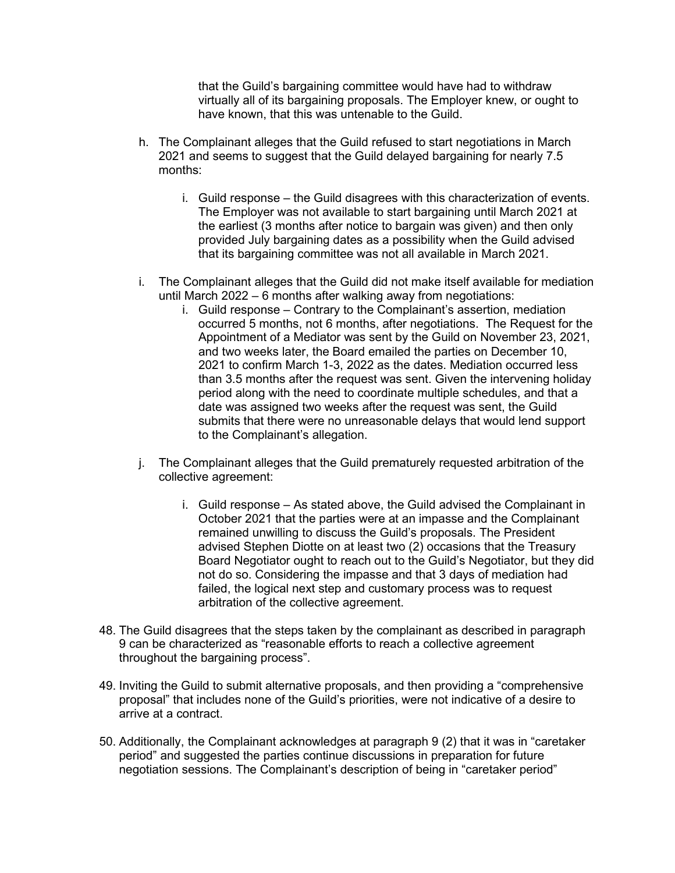that the Guild's bargaining committee would have had to withdraw virtually all of its bargaining proposals. The Employer knew, or ought to have known, that this was untenable to the Guild.

- h. The Complainant alleges that the Guild refused to start negotiations in March 2021 and seems to suggest that the Guild delayed bargaining for nearly 7.5 months:
	- i. Guild response the Guild disagrees with this characterization of events. The Employer was not available to start bargaining until March 2021 at the earliest (3 months after notice to bargain was given) and then only provided July bargaining dates as a possibility when the Guild advised that its bargaining committee was not all available in March 2021.
- i. The Complainant alleges that the Guild did not make itself available for mediation until March 2022 – 6 months after walking away from negotiations:
	- i. Guild response Contrary to the Complainant's assertion, mediation occurred 5 months, not 6 months, after negotiations. The Request for the Appointment of a Mediator was sent by the Guild on November 23, 2021, and two weeks later, the Board emailed the parties on December 10, 2021 to confirm March 1-3, 2022 as the dates. Mediation occurred less than 3.5 months after the request was sent. Given the intervening holiday period along with the need to coordinate multiple schedules, and that a date was assigned two weeks after the request was sent, the Guild submits that there were no unreasonable delays that would lend support to the Complainant's allegation.
- j. The Complainant alleges that the Guild prematurely requested arbitration of the collective agreement:
	- i. Guild response As stated above, the Guild advised the Complainant in October 2021 that the parties were at an impasse and the Complainant remained unwilling to discuss the Guild's proposals. The President advised Stephen Diotte on at least two (2) occasions that the Treasury Board Negotiator ought to reach out to the Guild's Negotiator, but they did not do so. Considering the impasse and that 3 days of mediation had failed, the logical next step and customary process was to request arbitration of the collective agreement.
- 48. The Guild disagrees that the steps taken by the complainant as described in paragraph 9 can be characterized as "reasonable efforts to reach a collective agreement throughout the bargaining process".
- 49. Inviting the Guild to submit alternative proposals, and then providing a "comprehensive proposal" that includes none of the Guild's priorities, were not indicative of a desire to arrive at a contract.
- 50. Additionally, the Complainant acknowledges at paragraph 9 (2) that it was in "caretaker period" and suggested the parties continue discussions in preparation for future negotiation sessions. The Complainant's description of being in "caretaker period"